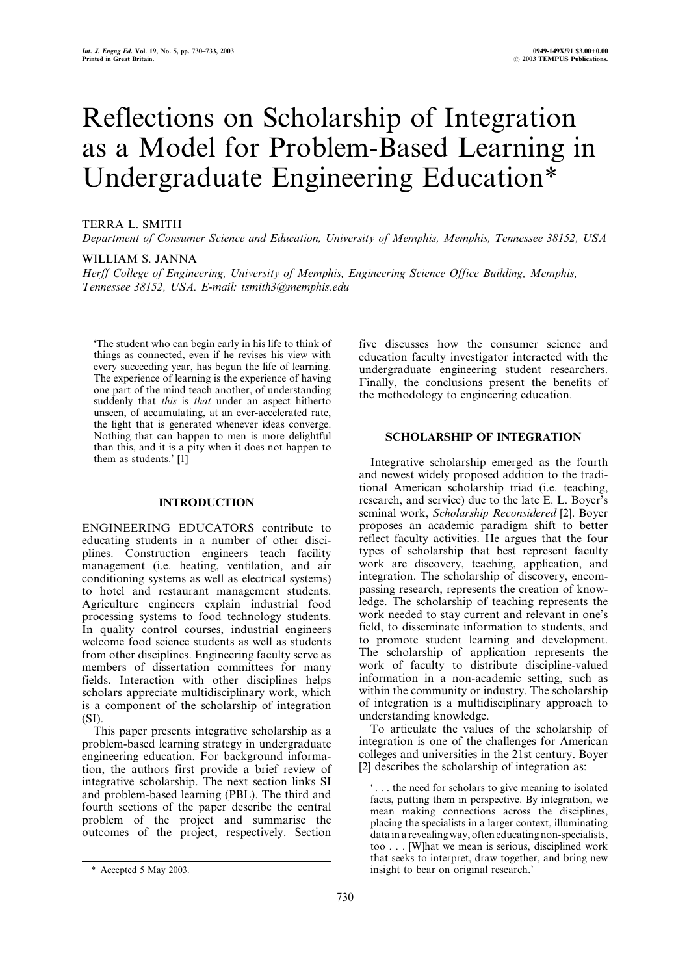# Reflections on Scholarship of Integration as a Model for Problem-Based Learning in Undergraduate Engineering Education\*

# TERRA L. SMITH

Department of Consumer Science and Education, University of Memphis, Memphis, Tennessee 38152, USA

#### WILLIAM S. JANNA

Herff College of Engineering, University of Memphis, Engineering Science Office Building, Memphis, Tennessee 38152, USA. E-mail: tsmith3@memphis.edu

`The student who can begin early in his life to think of things as connected, even if he revises his view with every succeeding year, has begun the life of learning. The experience of learning is the experience of having one part of the mind teach another, of understanding suddenly that *this* is *that* under an aspect hitherto unseen, of accumulating, at an ever-accelerated rate, the light that is generated whenever ideas converge. Nothing that can happen to men is more delightful than this, and it is a pity when it does not happen to them as students.' [1]

## INTRODUCTION

ENGINEERING EDUCATORS contribute to educating students in a number of other disciplines. Construction engineers teach facility management (i.e. heating, ventilation, and air conditioning systems as well as electrical systems) to hotel and restaurant management students. Agriculture engineers explain industrial food processing systems to food technology students. In quality control courses, industrial engineers welcome food science students as well as students from other disciplines. Engineering faculty serve as members of dissertation committees for many fields. Interaction with other disciplines helps scholars appreciate multidisciplinary work, which is a component of the scholarship of integration (SI).

This paper presents integrative scholarship as a problem-based learning strategy in undergraduate engineering education. For background information, the authors first provide a brief review of integrative scholarship. The next section links SI and problem-based learning (PBL). The third and fourth sections of the paper describe the central problem of the project and summarise the outcomes of the project, respectively. Section five discusses how the consumer science and education faculty investigator interacted with the undergraduate engineering student researchers. Finally, the conclusions present the benefits of the methodology to engineering education.

# SCHOLARSHIP OF INTEGRATION

Integrative scholarship emerged as the fourth and newest widely proposed addition to the traditional American scholarship triad (i.e. teaching, research, and service) due to the late E. L. Boyer's seminal work, Scholarship Reconsidered [2]. Boyer proposes an academic paradigm shift to better reflect faculty activities. He argues that the four types of scholarship that best represent faculty work are discovery, teaching, application, and integration. The scholarship of discovery, encompassing research, represents the creation of knowledge. The scholarship of teaching represents the work needed to stay current and relevant in one's field, to disseminate information to students, and to promote student learning and development. The scholarship of application represents the work of faculty to distribute discipline-valued information in a non-academic setting, such as within the community or industry. The scholarship of integration is a multidisciplinary approach to understanding knowledge.

To articulate the values of the scholarship of integration is one of the challenges for American colleges and universities in the 21st century. Boyer [2] describes the scholarship of integration as:

` . . . the need for scholars to give meaning to isolated facts, putting them in perspective. By integration, we mean making connections across the disciplines, placing the specialists in a larger context, illuminating data in a revealing way, often educating non-specialists, too . . . [W]hat we mean is serious, disciplined work that seeks to interpret, draw together, and bring new \* Accepted 5 May 2003. insight to bear on original research.'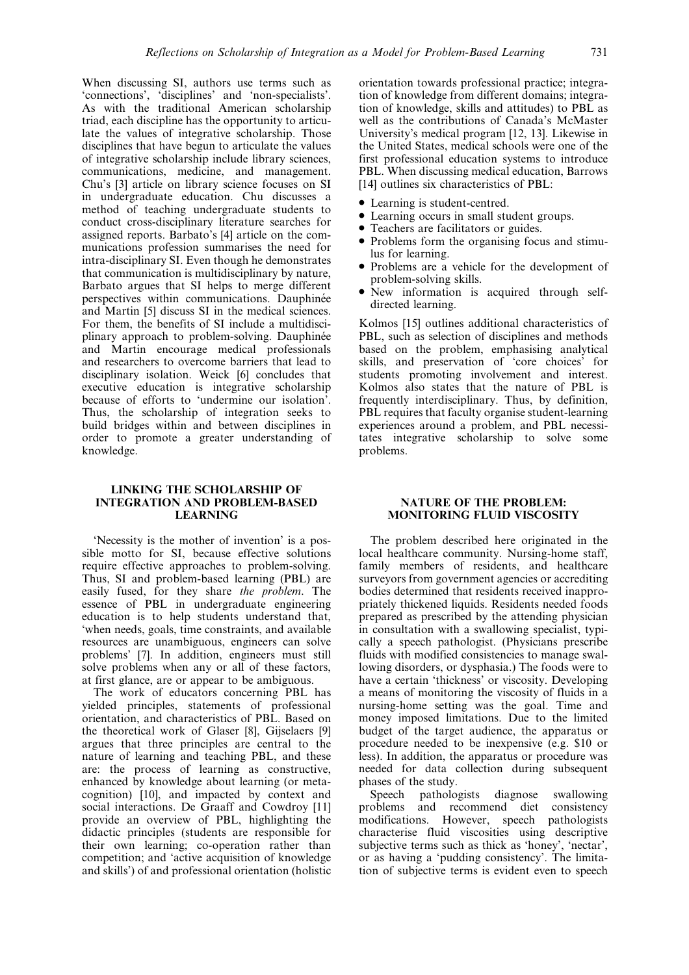When discussing SI, authors use terms such as `connections', `disciplines' and `non-specialists'. As with the traditional American scholarship triad, each discipline has the opportunity to articulate the values of integrative scholarship. Those disciplines that have begun to articulate the values of integrative scholarship include library sciences, communications, medicine, and management. Chu's [3] article on library science focuses on SI in undergraduate education. Chu discusses a method of teaching undergraduate students to conduct cross-disciplinary literature searches for assigned reports. Barbato's [4] article on the communications profession summarises the need for intra-disciplinary SI. Even though he demonstrates that communication is multidisciplinary by nature, Barbato argues that SI helps to merge different perspectives within communications. Dauphinée and Martin [5] discuss SI in the medical sciences. For them, the benefits of SI include a multidisciplinary approach to problem-solving. Dauphinée and Martin encourage medical professionals and researchers to overcome barriers that lead to disciplinary isolation. Weick [6] concludes that executive education is integrative scholarship because of efforts to 'undermine our isolation'. Thus, the scholarship of integration seeks to build bridges within and between disciplines in order to promote a greater understanding of knowledge.

#### LINKING THE SCHOLARSHIP OF INTEGRATION AND PROBLEM-BASED LEARNING

`Necessity is the mother of invention' is a possible motto for SI, because effective solutions require effective approaches to problem-solving. Thus, SI and problem-based learning (PBL) are easily fused, for they share the problem. The essence of PBL in undergraduate engineering education is to help students understand that, `when needs, goals, time constraints, and available resources are unambiguous, engineers can solve problems' [7]. In addition, engineers must still solve problems when any or all of these factors, at first glance, are or appear to be ambiguous.

The work of educators concerning PBL has yielded principles, statements of professional orientation, and characteristics of PBL. Based on the theoretical work of Glaser [8], Gijselaers [9] argues that three principles are central to the nature of learning and teaching PBL, and these are: the process of learning as constructive, enhanced by knowledge about learning (or metacognition) [10], and impacted by context and social interactions. De Graaff and Cowdroy [11] provide an overview of PBL, highlighting the didactic principles (students are responsible for their own learning; co-operation rather than competition; and `active acquisition of knowledge and skills') of and professional orientation (holistic orientation towards professional practice; integration of knowledge from different domains; integration of knowledge, skills and attitudes) to PBL as well as the contributions of Canada's McMaster University's medical program [12, 13]. Likewise in the United States, medical schools were one of the first professional education systems to introduce PBL. When discussing medical education, Barrows [14] outlines six characteristics of PBL:

- . Learning is student-centred.
- . Learning occurs in small student groups.
- . Teachers are facilitators or guides.
- . Problems form the organising focus and stimulus for learning.
- . Problems are a vehicle for the development of problem-solving skills.
- . New information is acquired through selfdirected learning.

Kolmos [15] outlines additional characteristics of PBL, such as selection of disciplines and methods based on the problem, emphasising analytical skills, and preservation of 'core choices' for students promoting involvement and interest. Kolmos also states that the nature of PBL is frequently interdisciplinary. Thus, by definition, PBL requires that faculty organise student-learning experiences around a problem, and PBL necessitates integrative scholarship to solve some problems.

# NATURE OF THE PROBLEM: MONITORING FLUID VISCOSITY

The problem described here originated in the local healthcare community. Nursing-home staff, family members of residents, and healthcare surveyors from government agencies or accrediting bodies determined that residents received inappropriately thickened liquids. Residents needed foods prepared as prescribed by the attending physician in consultation with a swallowing specialist, typically a speech pathologist. (Physicians prescribe fluids with modified consistencies to manage swallowing disorders, or dysphasia.) The foods were to have a certain 'thickness' or viscosity. Developing a means of monitoring the viscosity of fluids in a nursing-home setting was the goal. Time and money imposed limitations. Due to the limited budget of the target audience, the apparatus or procedure needed to be inexpensive (e.g. \$10 or less). In addition, the apparatus or procedure was needed for data collection during subsequent phases of the study.

Speech pathologists diagnose swallowing problems and recommend diet consistency modifications. However, speech pathologists characterise fluid viscosities using descriptive subiective terms such as thick as 'honey', 'nectar', or as having a `pudding consistency'. The limitation of subjective terms is evident even to speech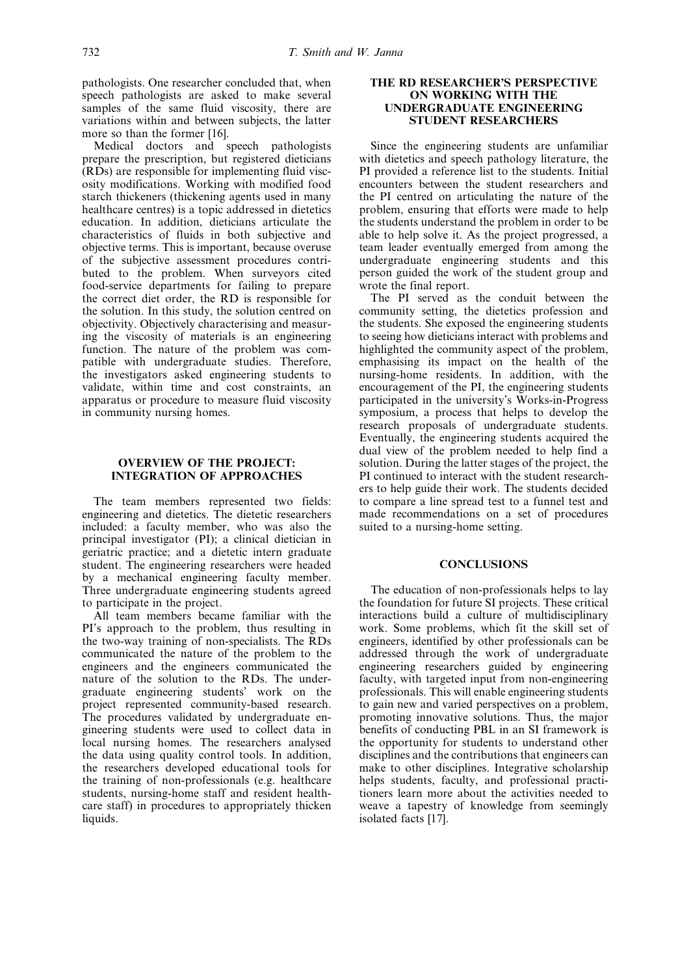pathologists. One researcher concluded that, when speech pathologists are asked to make several samples of the same fluid viscosity, there are variations within and between subjects, the latter more so than the former [16].

Medical doctors and speech pathologists prepare the prescription, but registered dieticians (RDs) are responsible for implementing fluid viscosity modifications. Working with modified food starch thickeners (thickening agents used in many healthcare centres) is a topic addressed in dietetics education. In addition, dieticians articulate the characteristics of fluids in both subjective and objective terms. This is important, because overuse of the subjective assessment procedures contributed to the problem. When surveyors cited food-service departments for failing to prepare the correct diet order, the RD is responsible for the solution. In this study, the solution centred on objectivity. Objectively characterising and measuring the viscosity of materials is an engineering function. The nature of the problem was compatible with undergraduate studies. Therefore, the investigators asked engineering students to validate, within time and cost constraints, an apparatus or procedure to measure fluid viscosity in community nursing homes.

# OVERVIEW OF THE PROJECT: INTEGRATION OF APPROACHES

The team members represented two fields: engineering and dietetics. The dietetic researchers included: a faculty member, who was also the principal investigator (PI); a clinical dietician in geriatric practice; and a dietetic intern graduate student. The engineering researchers were headed by a mechanical engineering faculty member. Three undergraduate engineering students agreed to participate in the project.

All team members became familiar with the PI's approach to the problem, thus resulting in the two-way training of non-specialists. The RDs communicated the nature of the problem to the engineers and the engineers communicated the nature of the solution to the RDs. The undergraduate engineering students' work on the project represented community-based research. The procedures validated by undergraduate engineering students were used to collect data in local nursing homes. The researchers analysed the data using quality control tools. In addition, the researchers developed educational tools for the training of non-professionals (e.g. healthcare students, nursing-home staff and resident healthcare staff) in procedures to appropriately thicken liquids.

## THE RD RESEARCHER'S PERSPECTIVE ON WORKING WITH THE UNDERGRADUATE ENGINEERING STUDENT RESEARCHERS

Since the engineering students are unfamiliar with dietetics and speech pathology literature, the PI provided a reference list to the students. Initial encounters between the student researchers and the PI centred on articulating the nature of the problem, ensuring that efforts were made to help the students understand the problem in order to be able to help solve it. As the project progressed, a team leader eventually emerged from among the undergraduate engineering students and this person guided the work of the student group and wrote the final report.

The PI served as the conduit between the community setting, the dietetics profession and the students. She exposed the engineering students to seeing how dieticians interact with problems and highlighted the community aspect of the problem, emphasising its impact on the health of the nursing-home residents. In addition, with the encouragement of the PI, the engineering students participated in the university's Works-in-Progress symposium, a process that helps to develop the research proposals of undergraduate students. Eventually, the engineering students acquired the dual view of the problem needed to help find a solution. During the latter stages of the project, the PI continued to interact with the student researchers to help guide their work. The students decided to compare a line spread test to a funnel test and made recommendations on a set of procedures suited to a nursing-home setting.

### **CONCLUSIONS**

The education of non-professionals helps to lay the foundation for future SI projects. These critical interactions build a culture of multidisciplinary work. Some problems, which fit the skill set of engineers, identified by other professionals can be addressed through the work of undergraduate engineering researchers guided by engineering faculty, with targeted input from non-engineering professionals. This will enable engineering students to gain new and varied perspectives on a problem, promoting innovative solutions. Thus, the major benefits of conducting PBL in an SI framework is the opportunity for students to understand other disciplines and the contributions that engineers can make to other disciplines. Integrative scholarship helps students, faculty, and professional practitioners learn more about the activities needed to weave a tapestry of knowledge from seemingly isolated facts [17].